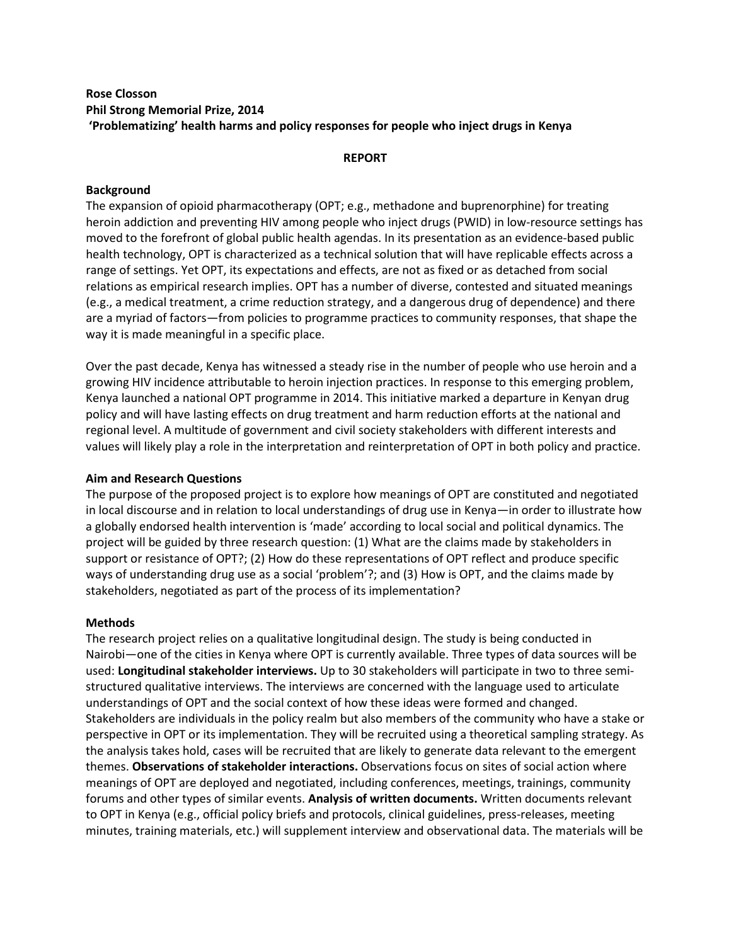### **Rose Closson Phil Strong Memorial Prize, 2014 'Problematizing' health harms and policy responses for people who inject drugs in Kenya**

### **REPORT**

### **Background**

The expansion of opioid pharmacotherapy (OPT; e.g., methadone and buprenorphine) for treating heroin addiction and preventing HIV among people who inject drugs (PWID) in low-resource settings has moved to the forefront of global public health agendas. In its presentation as an evidence-based public health technology, OPT is characterized as a technical solution that will have replicable effects across a range of settings. Yet OPT, its expectations and effects, are not as fixed or as detached from social relations as empirical research implies. OPT has a number of diverse, contested and situated meanings (e.g., a medical treatment, a crime reduction strategy, and a dangerous drug of dependence) and there are a myriad of factors—from policies to programme practices to community responses, that shape the way it is made meaningful in a specific place.

Over the past decade, Kenya has witnessed a steady rise in the number of people who use heroin and a growing HIV incidence attributable to heroin injection practices. In response to this emerging problem, Kenya launched a national OPT programme in 2014. This initiative marked a departure in Kenyan drug policy and will have lasting effects on drug treatment and harm reduction efforts at the national and regional level. A multitude of government and civil society stakeholders with different interests and values will likely play a role in the interpretation and reinterpretation of OPT in both policy and practice.

### **Aim and Research Questions**

The purpose of the proposed project is to explore how meanings of OPT are constituted and negotiated in local discourse and in relation to local understandings of drug use in Kenya—in order to illustrate how a globally endorsed health intervention is 'made' according to local social and political dynamics. The project will be guided by three research question: (1) What are the claims made by stakeholders in support or resistance of OPT?; (2) How do these representations of OPT reflect and produce specific ways of understanding drug use as a social 'problem'?; and (3) How is OPT, and the claims made by stakeholders, negotiated as part of the process of its implementation?

#### **Methods**

The research project relies on a qualitative longitudinal design. The study is being conducted in Nairobi—one of the cities in Kenya where OPT is currently available. Three types of data sources will be used: **Longitudinal stakeholder interviews.** Up to 30 stakeholders will participate in two to three semistructured qualitative interviews. The interviews are concerned with the language used to articulate understandings of OPT and the social context of how these ideas were formed and changed. Stakeholders are individuals in the policy realm but also members of the community who have a stake or perspective in OPT or its implementation. They will be recruited using a theoretical sampling strategy. As the analysis takes hold, cases will be recruited that are likely to generate data relevant to the emergent themes. **Observations of stakeholder interactions.** Observations focus on sites of social action where meanings of OPT are deployed and negotiated, including conferences, meetings, trainings, community forums and other types of similar events. **Analysis of written documents.** Written documents relevant to OPT in Kenya (e.g., official policy briefs and protocols, clinical guidelines, press-releases, meeting minutes, training materials, etc.) will supplement interview and observational data. The materials will be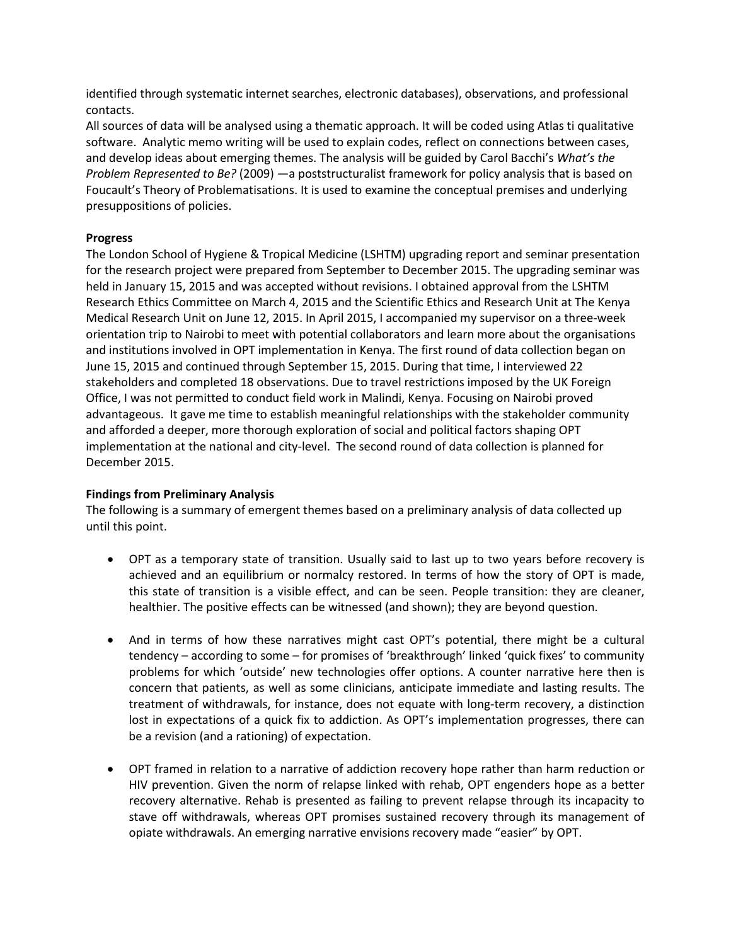identified through systematic internet searches, electronic databases), observations, and professional contacts.

All sources of data will be analysed using a thematic approach. It will be coded using Atlas ti qualitative software. Analytic memo writing will be used to explain codes, reflect on connections between cases, and develop ideas about emerging themes. The analysis will be guided by Carol Bacchi's *What's the Problem Represented to Be?* (2009) —a poststructuralist framework for policy analysis that is based on Foucault's Theory of Problematisations. It is used to examine the conceptual premises and underlying presuppositions of policies.

# **Progress**

The London School of Hygiene & Tropical Medicine (LSHTM) upgrading report and seminar presentation for the research project were prepared from September to December 2015. The upgrading seminar was held in January 15, 2015 and was accepted without revisions. I obtained approval from the LSHTM Research Ethics Committee on March 4, 2015 and the Scientific Ethics and Research Unit at The Kenya Medical Research Unit on June 12, 2015. In April 2015, I accompanied my supervisor on a three-week orientation trip to Nairobi to meet with potential collaborators and learn more about the organisations and institutions involved in OPT implementation in Kenya. The first round of data collection began on June 15, 2015 and continued through September 15, 2015. During that time, I interviewed 22 stakeholders and completed 18 observations. Due to travel restrictions imposed by the UK Foreign Office, I was not permitted to conduct field work in Malindi, Kenya. Focusing on Nairobi proved advantageous. It gave me time to establish meaningful relationships with the stakeholder community and afforded a deeper, more thorough exploration of social and political factors shaping OPT implementation at the national and city-level. The second round of data collection is planned for December 2015.

# **Findings from Preliminary Analysis**

The following is a summary of emergent themes based on a preliminary analysis of data collected up until this point.

- OPT as a temporary state of transition. Usually said to last up to two years before recovery is achieved and an equilibrium or normalcy restored. In terms of how the story of OPT is made, this state of transition is a visible effect, and can be seen. People transition: they are cleaner, healthier. The positive effects can be witnessed (and shown); they are beyond question.
- And in terms of how these narratives might cast OPT's potential, there might be a cultural tendency – according to some – for promises of 'breakthrough' linked 'quick fixes' to community problems for which 'outside' new technologies offer options. A counter narrative here then is concern that patients, as well as some clinicians, anticipate immediate and lasting results. The treatment of withdrawals, for instance, does not equate with long-term recovery, a distinction lost in expectations of a quick fix to addiction. As OPT's implementation progresses, there can be a revision (and a rationing) of expectation.
- OPT framed in relation to a narrative of addiction recovery hope rather than harm reduction or HIV prevention. Given the norm of relapse linked with rehab, OPT engenders hope as a better recovery alternative. Rehab is presented as failing to prevent relapse through its incapacity to stave off withdrawals, whereas OPT promises sustained recovery through its management of opiate withdrawals. An emerging narrative envisions recovery made "easier" by OPT.